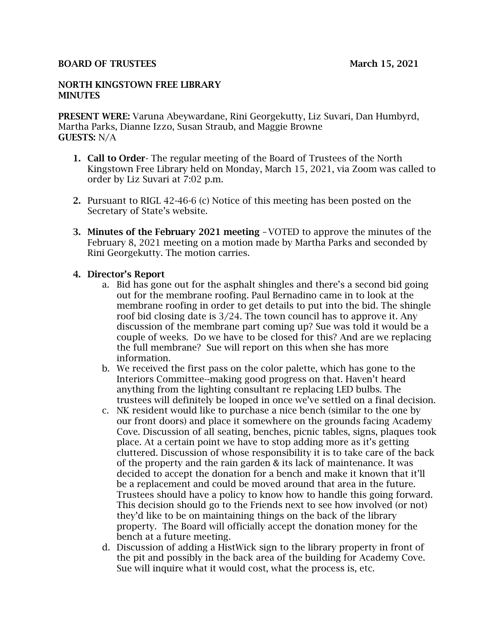### **BOARD OF TRUSTEES** March 15, 2021

#### NORTH KINGSTOWN FREE LIBRARY **MINUTES**

PRESENT WERE: Varuna Abeywardane, Rini Georgekutty, Liz Suvari, Dan Humbyrd, Martha Parks, Dianne Izzo, Susan Straub, and Maggie Browne GUESTS: N/A

- 1. Call to Order- The regular meeting of the Board of Trustees of the North Kingstown Free Library held on Monday, March 15, 2021, via Zoom was called to order by Liz Suvari at 7:02 p.m.
- 2. Pursuant to RIGL 42-46-6 (c) Notice of this meeting has been posted on the Secretary of State's website.
- 3. Minutes of the February 2021 meeting –VOTED to approve the minutes of the February 8, 2021 meeting on a motion made by Martha Parks and seconded by Rini Georgekutty. The motion carries.

### 4. Director's Report

- a. Bid has gone out for the asphalt shingles and there's a second bid going out for the membrane roofing. Paul Bernadino came in to look at the membrane roofing in order to get details to put into the bid. The shingle roof bid closing date is 3/24. The town council has to approve it. Any discussion of the membrane part coming up? Sue was told it would be a couple of weeks. Do we have to be closed for this? And are we replacing the full membrane? Sue will report on this when she has more information.
- b. We received the first pass on the color palette, which has gone to the Interiors Committee--making good progress on that. Haven't heard anything from the lighting consultant re replacing LED bulbs. The trustees will definitely be looped in once we've settled on a final decision.
- c. NK resident would like to purchase a nice bench (similar to the one by our front doors) and place it somewhere on the grounds facing Academy Cove. Discussion of all seating, benches, picnic tables, signs, plaques took place. At a certain point we have to stop adding more as it's getting cluttered. Discussion of whose responsibility it is to take care of the back of the property and the rain garden & its lack of maintenance. It was decided to accept the donation for a bench and make it known that it'll be a replacement and could be moved around that area in the future. Trustees should have a policy to know how to handle this going forward. This decision should go to the Friends next to see how involved (or not) they'd like to be on maintaining things on the back of the library property. The Board will officially accept the donation money for the bench at a future meeting.
- d. Discussion of adding a HistWick sign to the library property in front of the pit and possibly in the back area of the building for Academy Cove. Sue will inquire what it would cost, what the process is, etc.